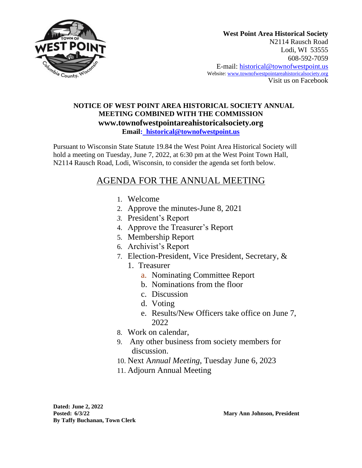

## **NOTICE OF WEST POINT AREA HISTORICAL SOCIETY ANNUAL MEETING COMBINED WITH THE COMMISSION www.townofwestpointareahistoricalsociety.org Email: historical@townofwestpoint.us**

Pursuant to Wisconsin State Statute 19.84 the West Point Area Historical Society will hold a meeting on Tuesday, June 7, 2022, at 6:30 pm at the West Point Town Hall, N2114 Rausch Road, Lodi, Wisconsin, to consider the agenda set forth below.

## AGENDA FOR THE ANNUAL MEETING

- 1. Welcome
- 2. Approve the minutes-June 8, 2021
- *3.* President's Report
- 4. Approve the Treasurer's Report
- 5. Membership Report
- 6. Archivist's Report
- 7. Election-President, Vice President, Secretary, &
	- 1. Treasurer
		- a. Nominating Committee Report
		- b. Nominations from the floor
		- c. Discussion
		- d. Voting
		- e. Results/New Officers take office on June 7, 2022
- 8. Work on calendar,
- 9. Any other business from society members for discussion.
- 10. Next A*nnual Meeting*, Tuesday June 6, 2023
- 11. Adjourn Annual Meeting

**Dated: June 2, 2022 Posted: 6/3/22 Mary Ann Johnson, President By Taffy Buchanan, Town Clerk**